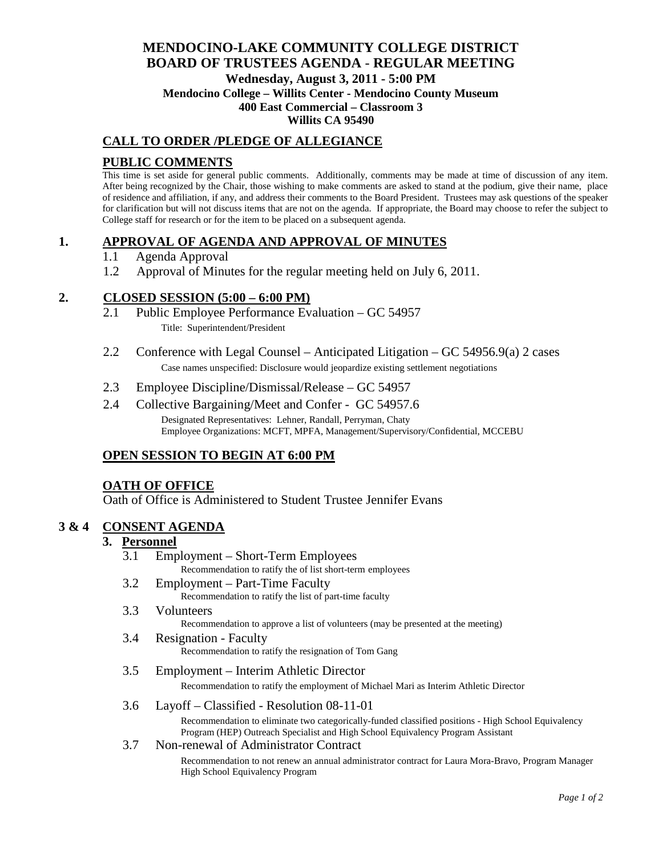# **MENDOCINO-LAKE COMMUNITY COLLEGE DISTRICT BOARD OF TRUSTEES AGENDA** - **REGULAR MEETING Wednesday, August 3, 2011 - 5:00 PM Mendocino College – Willits Center - Mendocino County Museum 400 East Commercial – Classroom 3**

#### **Willits CA 95490**

## **CALL TO ORDER /PLEDGE OF ALLEGIANCE**

## **PUBLIC COMMENTS**

This time is set aside for general public comments. Additionally, comments may be made at time of discussion of any item. After being recognized by the Chair, those wishing to make comments are asked to stand at the podium, give their name, place of residence and affiliation, if any, and address their comments to the Board President. Trustees may ask questions of the speaker for clarification but will not discuss items that are not on the agenda. If appropriate, the Board may choose to refer the subject to College staff for research or for the item to be placed on a subsequent agenda.

## **1. APPROVAL OF AGENDA AND APPROVAL OF MINUTES**

- 1.1 Agenda Approval
- 1.2 Approval of Minutes for the regular meeting held on July 6, 2011.

## **2. CLOSED SESSION (5:00 – 6:00 PM)**

- 2.1 Public Employee Performance Evaluation GC 54957 Title: Superintendent/President
- 2.2 Conference with Legal Counsel Anticipated Litigation GC 54956.9(a) 2 cases Case names unspecified: Disclosure would jeopardize existing settlement negotiations
- 2.3 Employee Discipline/Dismissal/Release GC 54957
- 2.4 Collective Bargaining/Meet and Confer GC 54957.6 Designated Representatives: Lehner, Randall, Perryman, Chaty Employee Organizations: MCFT, MPFA, Management/Supervisory/Confidential, MCCEBU

## **OPEN SESSION TO BEGIN AT 6:00 PM**

### **OATH OF OFFICE**

Oath of Office is Administered to Student Trustee Jennifer Evans

### **3 & 4 CONSENT AGENDA**

### **3. Personnel**

- 3.1 Employment Short-Term Employees Recommendation to ratify the of list short-term employees
- 3.2 Employment Part-Time Faculty Recommendation to ratify the list of part-time faculty
- 3.3 Volunteers Recommendation to approve a list of volunteers (may be presented at the meeting)
- 3.4 Resignation Faculty Recommendation to ratify the resignation of Tom Gang

#### 3.5 Employment – Interim Athletic Director

Recommendation to ratify the employment of Michael Mari as Interim Athletic Director

3.6 Layoff – Classified - Resolution 08-11-01

Recommendation to eliminate two categorically-funded classified positions - High School Equivalency Program (HEP) Outreach Specialist and High School Equivalency Program Assistant

#### 3.7 Non-renewal of Administrator Contract

Recommendation to not renew an annual administrator contract for Laura Mora-Bravo, Program Manager High School Equivalency Program